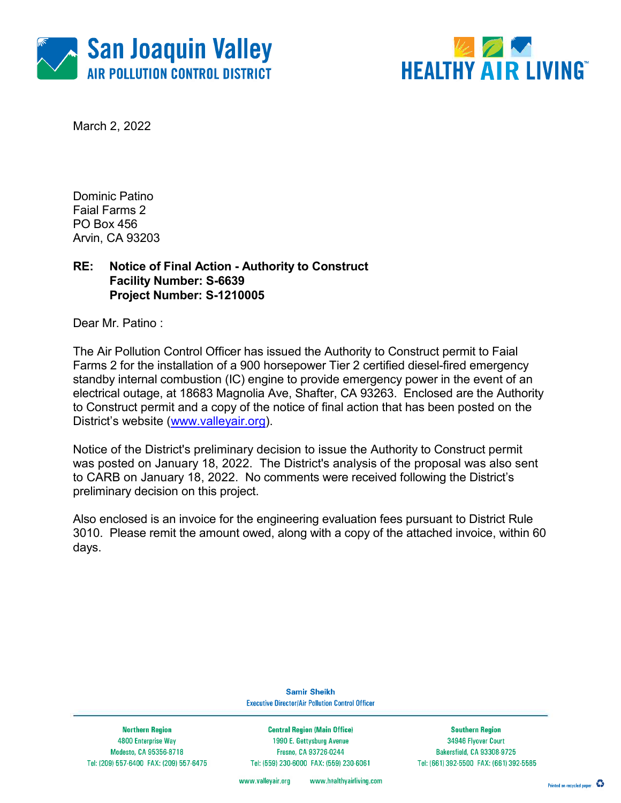



March 2, 2022

Dominic Patino Faial Farms 2 PO Box 456 Arvin, CA 93203

### RE: Notice of Final Action - Authority to Construct Facility Number: S-6639 Project Number: S-1210005

Dear Mr. Patino :

The Air Pollution Control Officer has issued the Authority to Construct permit to Faial Farms 2 for the installation of a 900 horsepower Tier 2 certified diesel-fired emergency standby internal combustion (IC) engine to provide emergency power in the event of an electrical outage, at 18683 Magnolia Ave, Shafter, CA 93263. Enclosed are the Authority to Construct permit and a copy of the notice of final action that has been posted on the District's website (www.valleyair.org).

Notice of the District's preliminary decision to issue the Authority to Construct permit was posted on January 18, 2022. The District's analysis of the proposal was also sent to CARB on January 18, 2022. No comments were received following the District's preliminary decision on this project.

Also enclosed is an invoice for the engineering evaluation fees pursuant to District Rule 3010. Please remit the amount owed, along with a copy of the attached invoice, within 60 days.

> **Samir Sheikh Executive Director/Air Pollution Control Officer**

**Northern Region** 4800 Enterprise Way Modesto, CA 95356-8718 Tel: (209) 557-6400 FAX: (209) 557-6475

**Central Region (Main Office)** 1990 E. Gettysburg Avenue Fresno, CA 93726-0244 Tel: (559) 230-6000 FAX: (559) 230-6061

**Southern Region** 34946 Flyover Court Bakersfield, CA 93308-9725 Tel: (661) 392-5500 FAX: (661) 392-5585

www.healthyairliving.com www.valleyair.org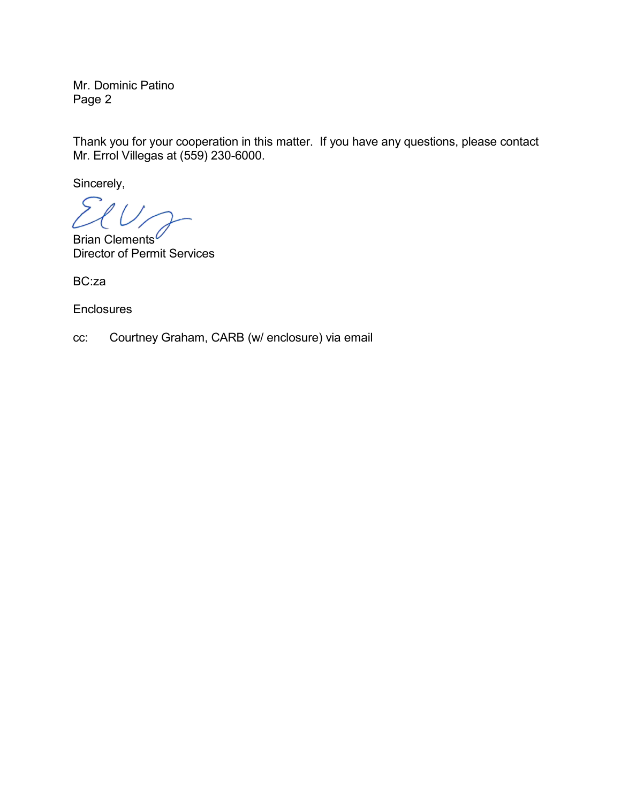Mr. Dominic Patino Page 2

Thank you for your cooperation in this matter. If you have any questions, please contact Mr. Errol Villegas at (559) 230-6000.

Sincerely,

Brian Clements<sup>6</sup> Director of Permit Services

BC:za

**Enclosures** 

cc: Courtney Graham, CARB (w/ enclosure) via email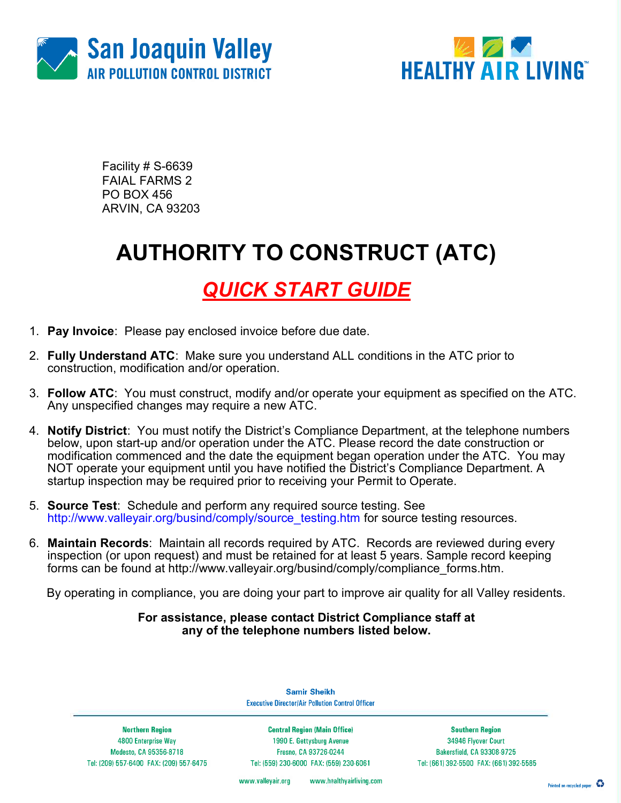



Facility # S-6639 FAIAL FARMS 2 PO BOX 456 ARVIN, CA 93203

# AUTHORITY TO CONSTRUCT (ATC)

### QUICK START GUIDE

- 1. Pay Invoice: Please pay enclosed invoice before due date.
- 2. Fully Understand ATC: Make sure you understand ALL conditions in the ATC prior to construction, modification and/or operation.
- 3. Follow ATC: You must construct, modify and/or operate your equipment as specified on the ATC. Any unspecified changes may require a new ATC.
- 4. Notify District: You must notify the District's Compliance Department, at the telephone numbers below, upon start-up and/or operation under the ATC. Please record the date construction or modification commenced and the date the equipment began operation under the ATC. You may NOT operate your equipment until you have notified the District's Compliance Department. A startup inspection may be required prior to receiving your Permit to Operate.
- 5. Source Test: Schedule and perform any required source testing. See http://www.valleyair.org/busind/comply/source\_testing.htm for source testing resources.
- 6. Maintain Records: Maintain all records required by ATC. Records are reviewed during every inspection (or upon request) and must be retained for at least 5 years. Sample record keeping forms can be found at http://www.valleyair.org/busind/comply/compliance\_forms.htm.

By operating in compliance, you are doing your part to improve air quality for all Valley residents.

#### For assistance, please contact District Compliance staff at any of the telephone numbers listed below.

**Samir Sheikh Executive Director/Air Pollution Control Officer** 

**Northern Region** 4800 Enterprise Way Modesto, CA 95356-8718 Tel: (209) 557-6400 FAX: (209) 557-6475

**Central Region (Main Office)** 1990 E. Gettysburg Avenue Fresno, CA 93726-0244 Tel: (559) 230-6000 FAX: (559) 230-6061

**Southern Region** 34946 Flyover Court Bakersfield, CA 93308-9725 Tel: (661) 392-5500 FAX: (661) 392-5585

www.valleyair.org www.healthyairliving.com

Printed on recycled paper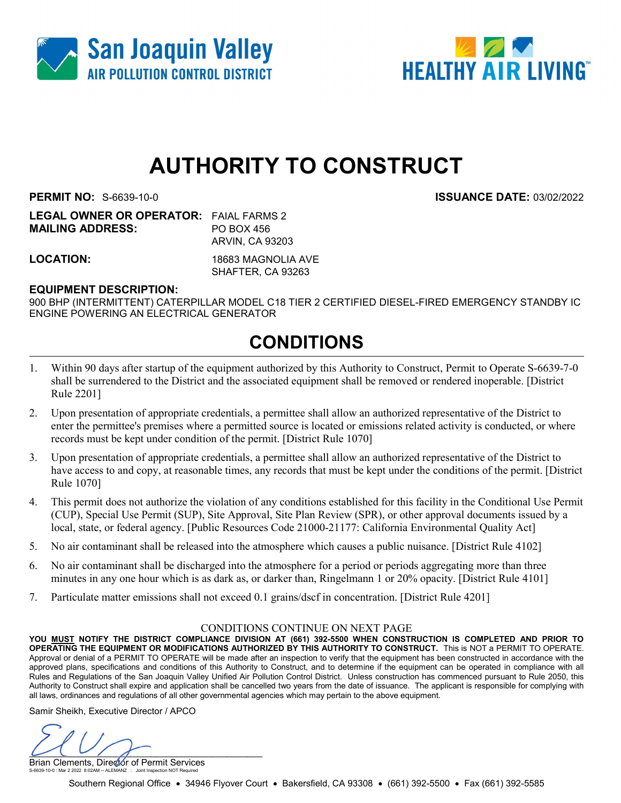



# AUTHORITY TO CONSTRUCT

PERMIT NO: S-6639-10-0 ISSUANCE DATE: 03/02/2022

| <b>LEGAL OWNER OR OPERATOR: FAIAL FARMS 2</b> |
|-----------------------------------------------|
| PO BOX 456                                    |
| ARVIN, CA 93203                               |
|                                               |

LOCATION: 18683 MAGNOLIA AVE SHAFTER, CA 93263

### EQUIPMENT DESCRIPTION:

900 BHP (INTERMITTENT) CATERPILLAR MODEL C18 TIER 2 CERTIFIED DIESEL-FIRED EMERGENCY STANDBY IC ENGINE POWERING AN ELECTRICAL GENERATOR

### CONDITIONS

- 1. Within 90 days after startup of the equipment authorized by this Authority to Construct, Permit to Operate S-6639-7-0 shall be surrendered to the District and the associated equipment shall be removed or rendered inoperable. [District Rule 2201]
- 2. Upon presentation of appropriate credentials, a permittee shall allow an authorized representative of the District to enter the permittee's premises where a permitted source is located or emissions related activity is conducted, or where records must be kept under condition of the permit. [District Rule 1070]
- 3. Upon presentation of appropriate credentials, a permittee shall allow an authorized representative of the District to have access to and copy, at reasonable times, any records that must be kept under the conditions of the permit. [District Rule 1070]
- 4. This permit does not authorize the violation of any conditions established for this facility in the Conditional Use Permit (CUP), Special Use Permit (SUP), Site Approval, Site Plan Review (SPR), or other approval documents issued by a local, state, or federal agency. [Public Resources Code 21000-21177: California Environmental Quality Act]
- 5. No air contaminant shall be released into the atmosphere which causes a public nuisance. [District Rule 4102]
- 6. No air contaminant shall be discharged into the atmosphere for a period or periods aggregating more than three minutes in any one hour which is as dark as, or darker than, Ringelmann 1 or 20% opacity. [District Rule 4101]
- 7. Particulate matter emissions shall not exceed 0.1 grains/dscf in concentration. [District Rule 4201]

#### CONDITIONS CONTINUE ON NEXT PAGE

YOU MUST NOTIFY THE DISTRICT COMPLIANCE DIVISION AT (661) 392-5500 WHEN CONSTRUCTION IS COMPLETED AND PRIOR TO OPERATING THE EQUIPMENT OR MODIFICATIONS AUTHORIZED BY THIS AUTHORITY TO CONSTRUCT. This is NOT a PERMIT TO OPERATE. Approval or denial of a PERMIT TO OPERATE will be made after an inspection to verify that the equipment has been constructed in accordance with the approved plans, specifications and conditions of this Authority to Construct, and to determine if the equipment can be operated in compliance with all Rules and Regulations of the San Joaquin Valley Unified Air Pollution Control District. Unless construction has commenced pursuant to Rule 2050, this Authority to Construct shall expire and application shall be cancelled two years from the date of issuance. The applicant is responsible for complying with all laws, ordinances and regulations of all other governmental agencies which may pertain to the above equipment.

Samir Sheikh, Executive Director / APCO

 $U(U \mid \mathcal{S})$ 

Brian Clements, Director of Permit Services S-6639-10-0 : Mar 2 2022 8:02AM -- ALEMANZ : Joint Inspection NOT Required